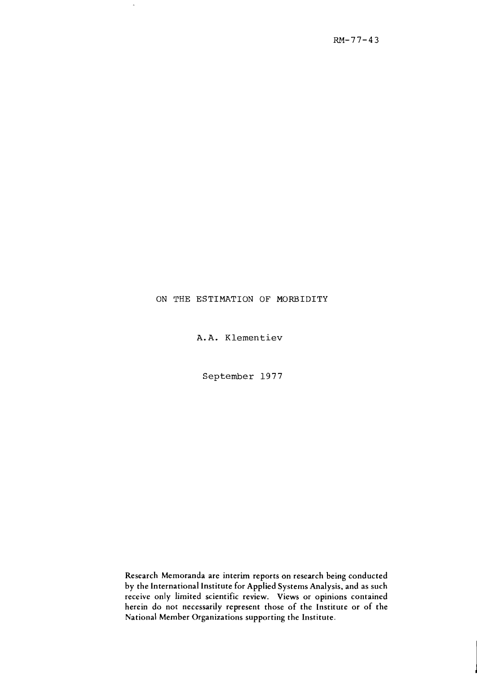# ON THE ESTIMATION OF MORBIDITY

l,

A.A. Klementiev

September 1977

**Research Memoranda are interim reports on research being conducted by the International Institute for Applied Systems Analysis, and as such receive only limited scientific review. Views or opinions contained herein do not necessarily represent those of the Institute or of the National Member Organizations supporting the Institute.**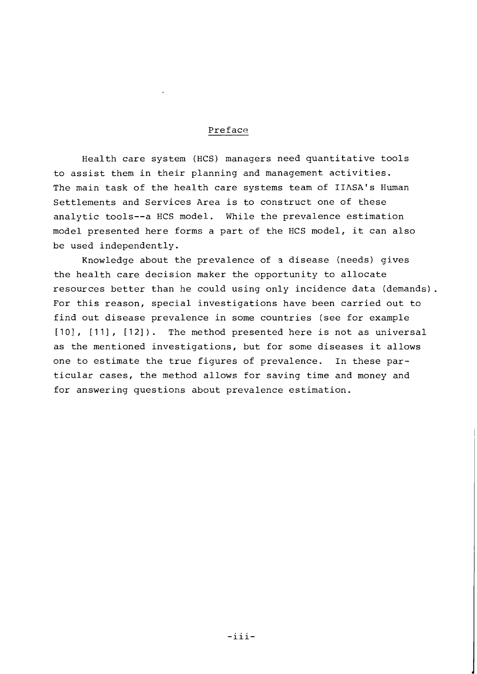### Preface

Health care system (HCS) managers need quantitative tools to assist them in their planning and management activities. The main task of the health care systems team of IIASA's Human Settlements and Services Area is to construct one of these analytic tools--a HCS model. While the prevalence estimation model presented here forms a part of the HCS model, it can also be used independently.

Knowledge about the prevalence of **2** disease (needs) gives the health care decision maker the opportunity to allocate resources better than he could using only incidence data (demands). For this reason, special investigations have been carried out to find out disease prevalence in some countries (see for example  $[10]$ ,  $[11]$ ,  $[12]$ ). The method presented here is not as universal as the mentioned investigations, but for some diseases it allows one to estimate the true figures of prevalence. In these particular cases, the method allows for saving time and money and for answering questions about prevalence estimation.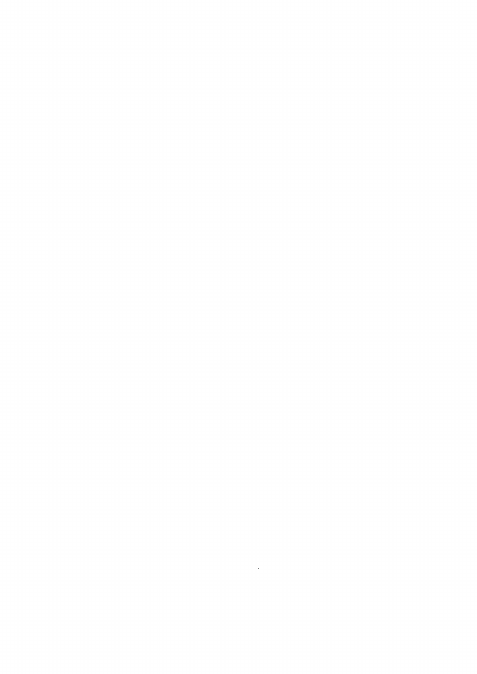$\label{eq:2.1} \frac{1}{\sqrt{2}}\left(\frac{1}{\sqrt{2}}\right)^{2} \left(\frac{1}{\sqrt{2}}\right)^{2} \left(\frac{1}{\sqrt{2}}\right)^{2} \left(\frac{1}{\sqrt{2}}\right)^{2} \left(\frac{1}{\sqrt{2}}\right)^{2} \left(\frac{1}{\sqrt{2}}\right)^{2} \left(\frac{1}{\sqrt{2}}\right)^{2} \left(\frac{1}{\sqrt{2}}\right)^{2} \left(\frac{1}{\sqrt{2}}\right)^{2} \left(\frac{1}{\sqrt{2}}\right)^{2} \left(\frac{1}{\sqrt{2}}\right)^{2} \left(\$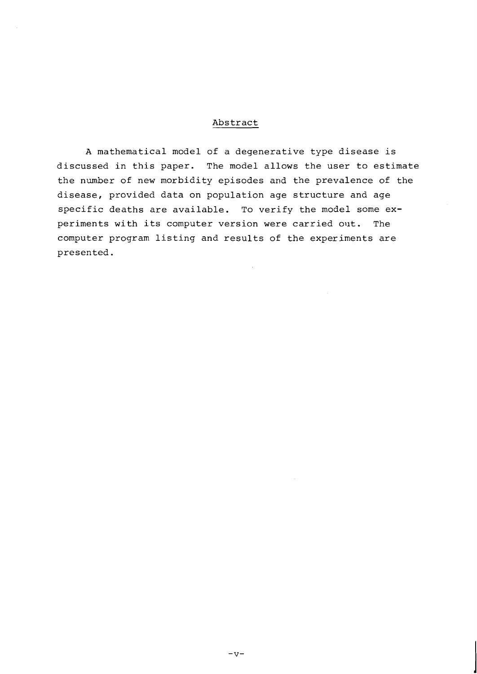# Abstract

A mathematical model of a degenerative type disease is discussed in this paper. The model allows the user to estimate the number of new morbidity episodes and the prevalence of the disease, provided data on population age structure and age specific deaths are available. To verify the model some experiments with its computer version were carried out. The computer program listing and results of the experiments are presented.

 $\sim$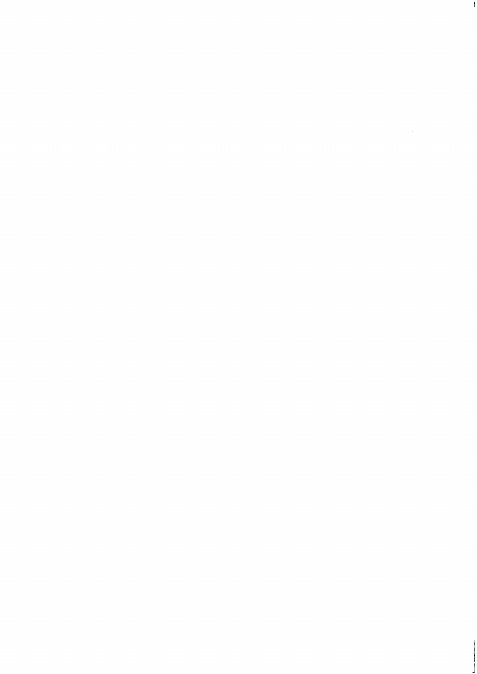$\label{eq:2.1} \frac{1}{\sqrt{2}}\int_{\mathbb{R}^3}\frac{1}{\sqrt{2}}\left(\frac{1}{\sqrt{2}}\right)^2\frac{1}{\sqrt{2}}\left(\frac{1}{\sqrt{2}}\right)^2\frac{1}{\sqrt{2}}\left(\frac{1}{\sqrt{2}}\right)^2\frac{1}{\sqrt{2}}\left(\frac{1}{\sqrt{2}}\right)^2.$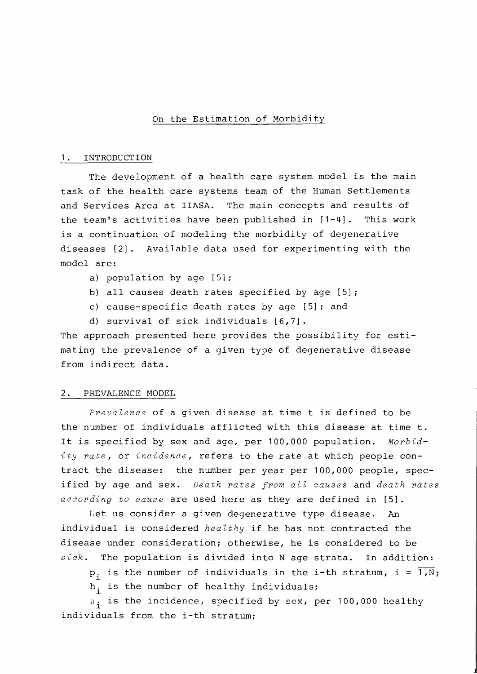### On the Estimation of Morbidity

## 1. INTRODUCTION

The development of a health care system model is the main task of the health care systems team of the Human Settlements and Services Area at IIASA. The main concepts and results of the team's activities have been published in [1-41. This work is a continuation of modeling the morbidity of degenerative diseases [2]. Available data used for experimenting with the model are:

- a) population by age [5];
- b) all causes death rates specified by age [5];
- c) cause-specific death rates by age [5]; and
- d) survival of sick individuals [6,7].

The approach presented here provides the possibility for estimating the prevalence of a given type of degenerative disease from indirect data.

### 2. PREVALENCE MODEL

Prevalence of a given disease at time t is defined to be the number of individuals afflicted with this disease at time t. It is specified by sex and age, per 100,000 population. Morbidity rate, or incidence, refers to the rate at which people contract the disease: the number per year per 100,000 people, specified by age and sex. Death rates from all causes and death rates according to cause are used here as they are defined in [5].

Let us consider a given degenerative type disease. An individual is considered healthy if he has not contracted the disease under consideration; otherwise, he is considered to be individual is considered *healthy* if he has not contracted the<br>disease under consideration; otherwise, he is considered to be<br>sick. The population is divided into N age strata. In addition:<br> $P_i$  is the number of individu

 $h_i$  is the number of healthy individuals;

 $\mu_i$  is the incidence, specified by sex, per 100,000 healthy individuals from the i-th stratum;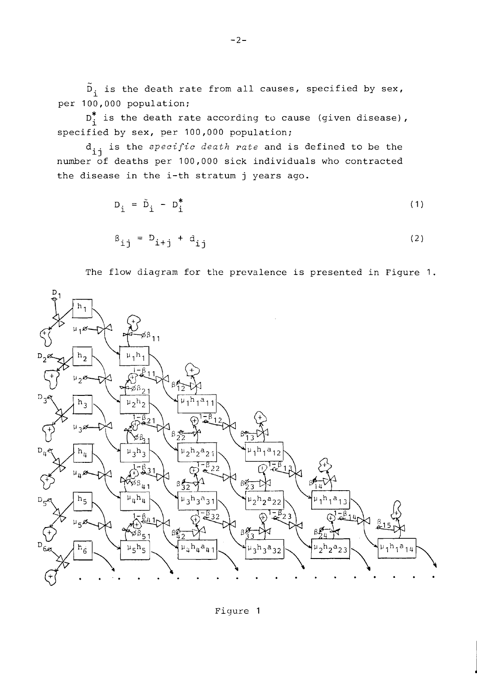$\tilde{z}$  $\widetilde{\texttt{D}}_{\texttt{i}}$  is the death rate from all causes, specified by sex, per 100,000 population;

 $D_{i}^{*}$  is the death rate according to cause (given disease), specified by sex, per 100,000 population;

d<sub>ij</sub> is the *specific death rate* and is defined to be the number of deaths per 100,000 sick individuals who contracted the disease in the i-th stratum j years ago.

$$
D_{i} = \tilde{D}_{i} - D_{i}^{*} \tag{1}
$$

$$
\beta_{ij} = D_{i+j} + d_{ij}
$$
 (2)

The flow diagram for the prevalence is presented in Figure 1.



Figure 1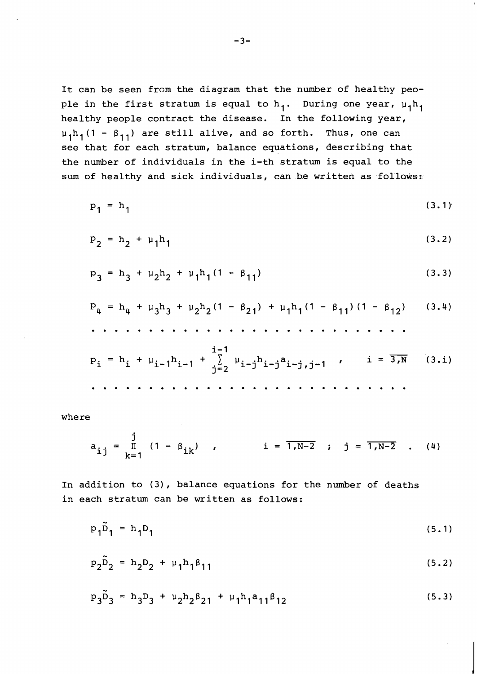It can be seen from the diagram that the number of healthy people in the first stratum is equal to  $h_1$ . During one year,  $\mu_1 h_1$ healthy people contract the disease. In the following year,  $\mu_1 h_1$  (1 -  $\beta_{11}$ ) are still alive, and so forth. Thus, one can see that for each stratum, balance equations, describing that the number of individuals in the i-th stratum is equal to the sum of healthy and sick individuals, can be written as follows:

$$
p_1 = h_1 \tag{3.1}
$$

$$
P_2 = h_2 + \mu_1 h_1 \tag{3.2}
$$

$$
p_3 = h_3 + \mu_2 h_2 + \mu_1 h_1 (1 - \beta_{11})
$$
 (3.3)

$$
P_{4} = h_{4} + \mu_{3}h_{3} + \mu_{2}h_{2}(1 - \beta_{21}) + \mu_{1}h_{1}(1 - \beta_{11})(1 - \beta_{12}) \qquad (3.4)
$$

$$
p_{i} = h_{i} + \mu_{i-1}h_{i-1} + \sum_{j=2}^{i-1} \mu_{i-j}h_{i-j}a_{i-j,j-1} , j-1 , j = \overline{3,N}
$$
 (3. i)

where

$$
a_{ij} = \prod_{k=1}^{J} (1 - \beta_{ik}) , \qquad i = \overline{1, N-2} ; j = \overline{1, N-2} . (4)
$$

In addition to (3), balance equations for the number of deaths in each stratum can be written as follows:

$$
P_1\tilde{D}_1 = h_1D_1 \tag{5.1}
$$

$$
p_2\tilde{D}_2 = h_2D_2 + \mu_1h_1\beta_{11}
$$
 (5.2)

$$
p_3\tilde{D}_3 = h_3D_3 + \mu_2h_2\beta_{21} + \mu_1h_1a_{11}\beta_{12}
$$
 (5.3)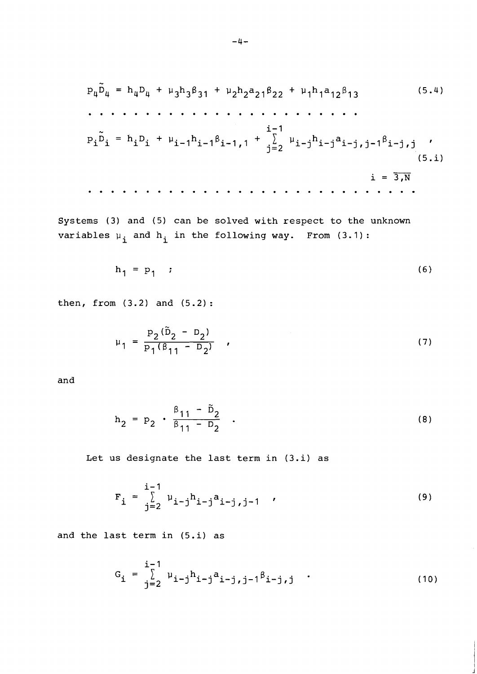Systems (3) and (5) can be solved with respect to the unknown variables  $\mu_i$  and  $h_i$  in the following way. From (3.1):

$$
h_1 = p_1 \qquad (6)
$$

then, from (3.2) and (5.2):

$$
\mu_1 = \frac{P_2(\tilde{D}_2 - D_2)}{P_1(\beta_{11} - D_2)},
$$
\n(7)

and

$$
h_2 = p_2 \cdot \frac{\beta_{11} - \tilde{D}_2}{\beta_{11} - D_2} \quad . \tag{8}
$$

Let us designate the last term in (3.i) as

$$
F_{i} = \sum_{j=2}^{i-1} \mu_{i-j} h_{i-j} a_{i-j,j-1} \qquad (9)
$$

and the last term in (5.i) as

$$
G_{i} = \sum_{j=2}^{i-1} \mu_{i-j} h_{i-j} a_{i-j,j-1} \beta_{i-j,j} \qquad (10)
$$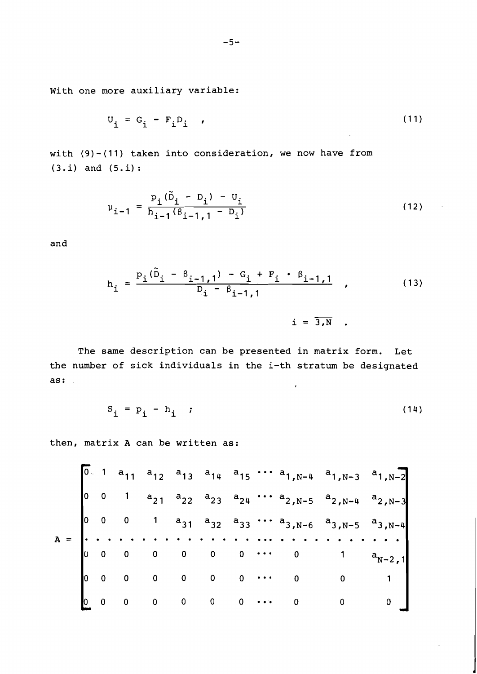**With one more auxiliary variable:** 

$$
U_{i} = G_{i} - F_{i}D_{i} \qquad (11)
$$

**with (9)-(11) taken into consideration, we now have from (3.i) and (5.i):** 

$$
\mu_{i-1} = \frac{P_i (\tilde{D}_i - D_i) - U_i}{h_{i-1} (\beta_{i-1, 1} - D_i)}
$$
(12)

**and** 

$$
h_{i} = \frac{P_{i}(\tilde{D}_{i} - \beta_{i-1,1}) - G_{i} + F_{i} \cdot \beta_{i-1,1}}{D_{i} - \beta_{i-1,1}},
$$
\n
$$
i = \overline{3, N}.
$$
\n(13)

**The same description can be presented in matrix form. Let the number of sick individuals in the i-th stratum be designated as:**   $\mathcal{A}$ 

$$
S_{i} = P_{i} - h_{i} \qquad (14)
$$

**then, matrix A can be written as:**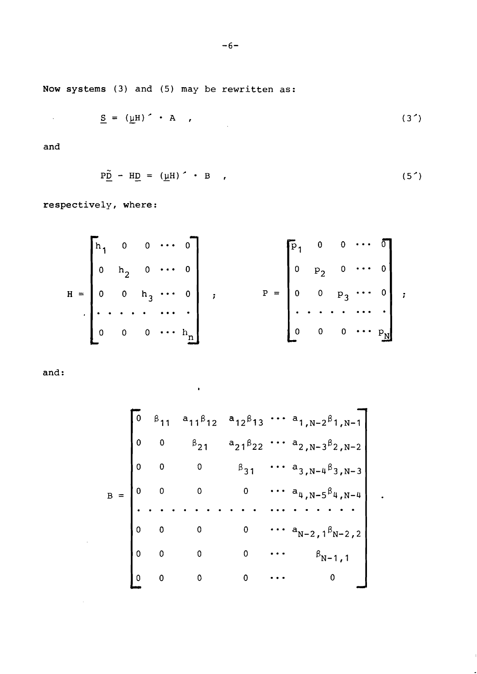**Now systems (3) and (5) may be rewritten as:** 

$$
\underline{S} = (\underline{\mu}H) \cdot A \qquad (3')
$$

**and** 

 $\sim 10^{11}$  km s  $^{-1}$ 

$$
P\underline{\tilde{D}} - H\underline{D} = (\underline{\mu}H) \cdot B \qquad (5')
$$

**respectively, where:** 

$$
H = \begin{bmatrix} h_1 & 0 & 0 & \cdots & 0 \\ 0 & h_2 & 0 & \cdots & 0 \\ 0 & 0 & h_3 & \cdots & 0 \\ \vdots & \vdots & \vdots & \ddots & \vdots & \vdots \\ 0 & 0 & 0 & \cdots & h_n \end{bmatrix} , \qquad P = \begin{bmatrix} p_1 & 0 & 0 & \cdots & 0 \\ 0 & p_2 & 0 & \cdots & 0 \\ \vdots & \vdots & \vdots & \ddots & \vdots \\ 0 & 0 & p_3 & \cdots & 0 \\ \vdots & \vdots & \vdots & \ddots & \vdots \\ 0 & 0 & 0 & \cdots & p_N \end{bmatrix} ,
$$

**and** :

 $\sim 10^{-1}$ 

 $\sim 10^{-1}$ 

$$
B = \begin{bmatrix}\n0 & \beta_{11} & a_{11}\beta_{12} & a_{12}\beta_{13} & \cdots & a_{1,N-2}\beta_{1,N-1} \\
0 & 0 & \beta_{21} & a_{21}\beta_{22} & \cdots & a_{2,N-3}\beta_{2,N-2} \\
0 & 0 & 0 & \beta_{31} & \cdots & a_{3,N-4}\beta_{3,N-3} \\
0 & 0 & 0 & \cdots & a_{4,N-5}\beta_{4,N-4} \\
\vdots & \vdots & \vdots & \ddots & \vdots & \vdots & \vdots \\
0 & 0 & 0 & 0 & \cdots & a_{N-2,1}\beta_{N-2,2} \\
0 & 0 & 0 & \cdots & \beta_{N-1,1} \\
0 & 0 & 0 & \cdots & 0\n\end{bmatrix}
$$

*8*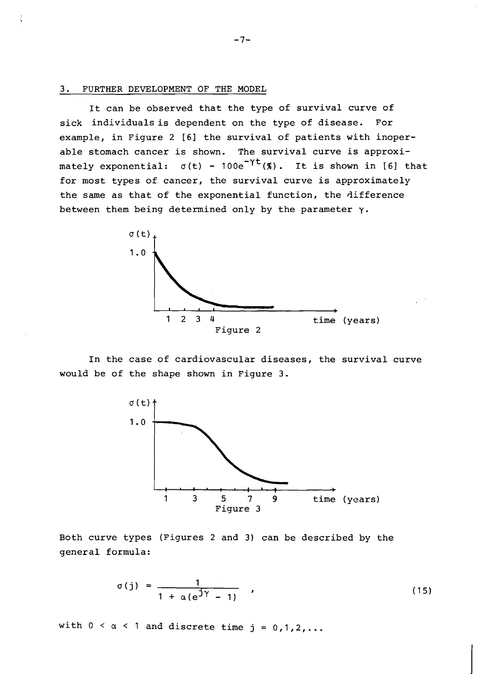### 3. FURTHER DEVELOPMENT OF THE MODEL

It can be observed that the type of survival curve of sick individuals is dependent on the type of disease. For example, in Figure 2 [6] the survival of patients with inoperable stomach cancer is shown. The survival curve is approximately exponential:  $\sigma(t)$  - 100e<sup>- $\gamma t$ </sup>(%). It is shown in [6] that for most types of cancer, the survival curve is approximately the same as that of the exponential function, the difference between them being determined only by the parameter  $\gamma$ .



In the case of cardiovascular diseases, the survival curve would be of the shape shown in Figure 3.



Both curve types (Figures 2 and 3) can be described by the general formula:

$$
\sigma(j) = \frac{1}{1 + \alpha(e^{j\gamma} - 1)}
$$
\n(15)

with  $0 < \alpha < 1$  and discrete time  $j = 0, 1, 2, ...$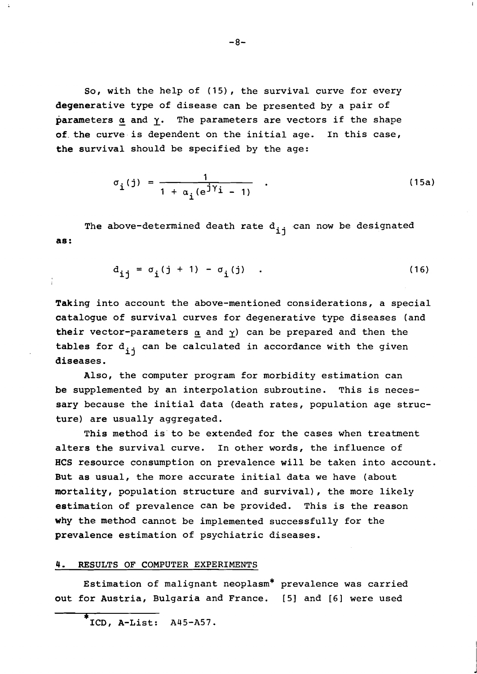So, with the help of (15), the survival curve for every degenerative type of disease can be presented by a pair of parameters  $\alpha$  and  $\gamma$ . The parameters are vectors if the shape of the curve is dependent on the initial age. In this case, the survival should be specified by the age:

$$
\sigma_{\mathbf{i}}(\mathbf{j}) = \frac{1}{1 + \alpha_{\mathbf{i}} (e^{\mathbf{j}\gamma_{\mathbf{i}}} - 1)} \quad . \tag{15a}
$$

The above-determined death rate  $d_{i,j}$  can now be designated as:

$$
d_{ij} = \sigma_i (j + 1) - \sigma_i (j) \quad . \tag{16}
$$

Taking into account the above-mentioned considerations, a special catalogue of survival curves for degenerative type diseases (and their vector-parameters  $\alpha$  and  $\gamma$ ) can be prepared and then the tables for  $d_{i,j}$  can be calculated in accordance with the given diseases.

Also, the computer program for morbidity estimation can be supplemented by an interpolation subroutine. This is necessary because the initial data (death rates, population age structure) are usually aggregated.

This method is to be extended for the cases when treatment alters the survival curve. In other words, the influence of HCS resource consumption on prevalence will be taken into account. But as usual, the more accurate initial data we have (about mortality, population structure and survival), the more likely estimation of prevalence can be provided. This is the reason why the method cannot be implemented successfully for the prevalence estimation of psychiatric diseases.

#### 4. RESULTS OF COMPUTER EXPERIMENTS

Estimation of malignant neoplasm\* prevalence was carried out for Austria, Bulgaria and France. [5] and [6] were used

<sup>\*</sup>  ICD, A-List: A45-A57.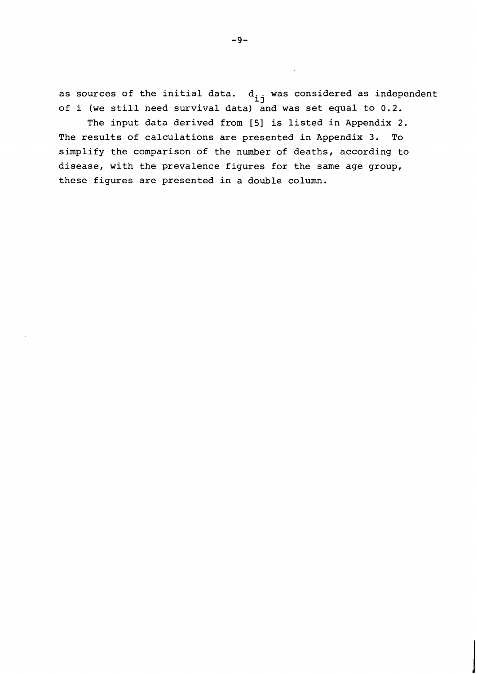as sources of the initial data.  $d_{ij}$  was considered as independent of i (we still need survival data) and was set equal to 0.2.

The input data derived from [5] is listed in Appendix 2. The results of calculations are presented in Appendix **3.** To simplify the comparison of the number of deaths, according to disease, with the prevalence figures for the same age group, these figures are presented in a double column.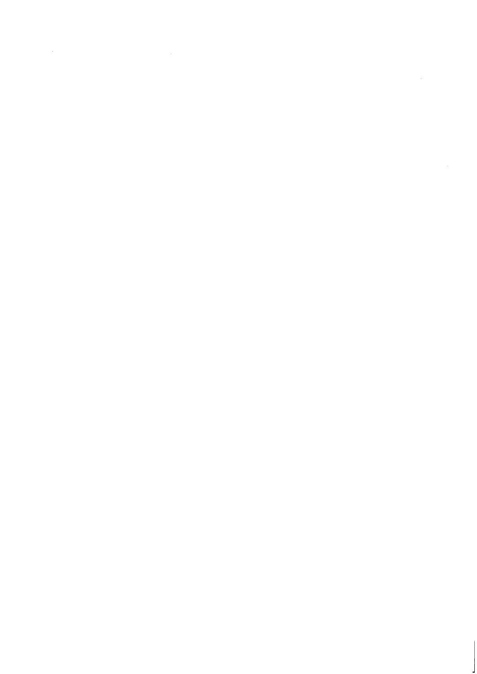$\label{eq:2.1} \frac{1}{\sqrt{2}}\int_{\mathbb{R}^3} \frac{1}{\sqrt{2}}\left(\frac{1}{\sqrt{2}}\right)^2\left(\frac{1}{\sqrt{2}}\right)^2\left(\frac{1}{\sqrt{2}}\right)^2\left(\frac{1}{\sqrt{2}}\right)^2\left(\frac{1}{\sqrt{2}}\right)^2\left(\frac{1}{\sqrt{2}}\right)^2\left(\frac{1}{\sqrt{2}}\right)^2\left(\frac{1}{\sqrt{2}}\right)^2\left(\frac{1}{\sqrt{2}}\right)^2\left(\frac{1}{\sqrt{2}}\right)^2\left(\frac{1}{\sqrt{2}}\right)^2\left(\$ 

 $\label{eq:2.1} \frac{1}{\sqrt{2}}\left(\frac{1}{\sqrt{2}}\right)^{2} \left(\frac{1}{\sqrt{2}}\right)^{2} \left(\frac{1}{\sqrt{2}}\right)^{2} \left(\frac{1}{\sqrt{2}}\right)^{2} \left(\frac{1}{\sqrt{2}}\right)^{2} \left(\frac{1}{\sqrt{2}}\right)^{2} \left(\frac{1}{\sqrt{2}}\right)^{2} \left(\frac{1}{\sqrt{2}}\right)^{2} \left(\frac{1}{\sqrt{2}}\right)^{2} \left(\frac{1}{\sqrt{2}}\right)^{2} \left(\frac{1}{\sqrt{2}}\right)^{2} \left(\$ 

 $\label{eq:2.1} \frac{1}{\sqrt{2}}\int_{\mathbb{R}^3}\frac{1}{\sqrt{2}}\left(\frac{1}{\sqrt{2}}\right)^2\frac{1}{\sqrt{2}}\left(\frac{1}{\sqrt{2}}\right)^2\frac{1}{\sqrt{2}}\left(\frac{1}{\sqrt{2}}\right)^2.$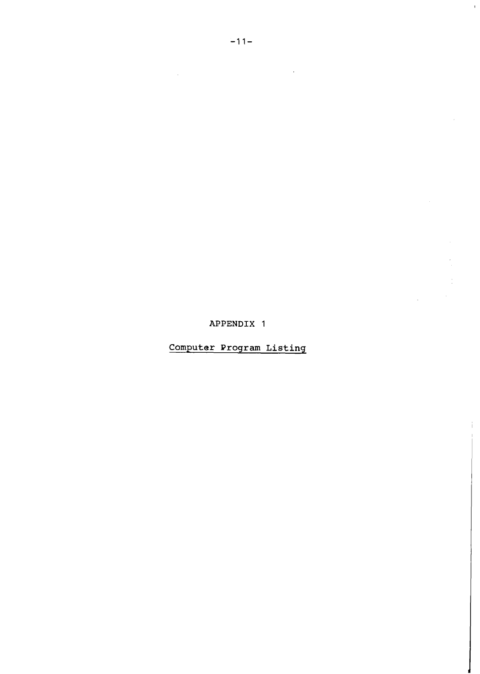**APPENDIX 1** 

**Computer Program Listing** 

 $\hat{\mathcal{A}}$ 

 $\bar{z}$ 

 $\hat{\mathbf{t}}$ 

 $\bar{\gamma}$ 

 $\frac{1}{2}$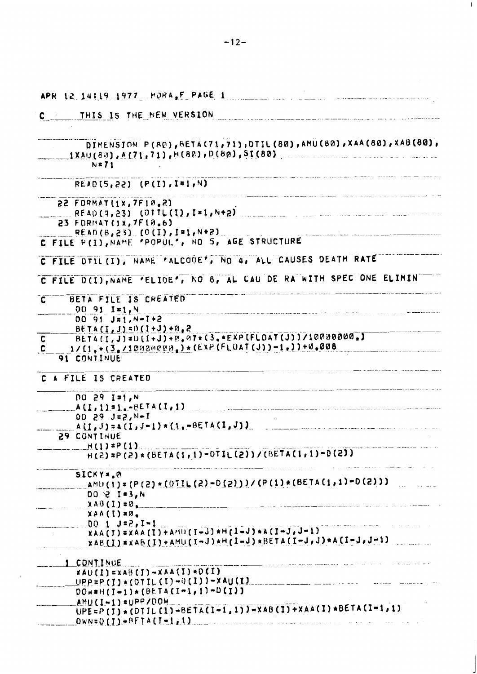| APR 12 14:19 1977 MORA, F PAGE 1                                                                                                                                                                                                                                                                                                |
|---------------------------------------------------------------------------------------------------------------------------------------------------------------------------------------------------------------------------------------------------------------------------------------------------------------------------------|
| C THIS IS THE MEW VERSION                                                                                                                                                                                                                                                                                                       |
|                                                                                                                                                                                                                                                                                                                                 |
| DIMENSION P(AD), BETA(71,71), DTIL(80), AMU(80), XAA(80), XAB(80),                                                                                                                                                                                                                                                              |
| $\frac{1}{2}$ $\frac{1}{2}$ $\frac{1}{2}$ $\frac{1}{2}$ $\frac{1}{2}$ $\frac{1}{2}$ $\frac{1}{2}$ $\frac{1}{2}$ $\frac{1}{2}$ $\frac{1}{2}$ $\frac{1}{2}$ $\frac{1}{2}$ $\frac{1}{2}$ $\frac{1}{2}$ $\frac{1}{2}$ $\frac{1}{2}$ $\frac{1}{2}$ $\frac{1}{2}$ $\frac{1}{2}$ $\frac{1}{2}$ $\frac{1}{2}$ $\frac{1}{2}$<br>$N = 71$ |
|                                                                                                                                                                                                                                                                                                                                 |
| $READ(5, 22) (P(1), I=1,N)$                                                                                                                                                                                                                                                                                                     |
| 22 FORMAT(1X,7F10,2)                                                                                                                                                                                                                                                                                                            |
| $READ(1, 23) (OTIL(1), I=1, N+2)$                                                                                                                                                                                                                                                                                               |
| 23 FORMAT(1X,7F10.6)                                                                                                                                                                                                                                                                                                            |
| C FILE P(I), NAME 'POPUL', NO 5, AGE STRUCTURE                                                                                                                                                                                                                                                                                  |
|                                                                                                                                                                                                                                                                                                                                 |
| C FILE DTIL (I), NAME 'ALCODE', NO 4, ALL CAUSES DEATH RATE'                                                                                                                                                                                                                                                                    |
| C FILE D(I), NAME 'ELIDE', NO 8, AL CAU DE RA WITH SPEC ONE ELIMIN                                                                                                                                                                                                                                                              |
| ີເ<br>BETA FILE IS CREATED                                                                                                                                                                                                                                                                                                      |
| 009111, N                                                                                                                                                                                                                                                                                                                       |
| $0091 J=1, N-I+2$                                                                                                                                                                                                                                                                                                               |
| $BETA(I,J)=0(I+J)+0.2$<br>BETA(1, J) = D(I+J) + @, 97 * (3, *EXP [FLOAT(J))/10000000,)                                                                                                                                                                                                                                          |
| ¢<br>$1/(1, * (3, /10000000) * (EXP(FLUAT(J))-1.)) *0.008$<br>C                                                                                                                                                                                                                                                                 |
| 91 CONTINUE                                                                                                                                                                                                                                                                                                                     |
| C A FILE IS CREATED                                                                                                                                                                                                                                                                                                             |
| 0029151N                                                                                                                                                                                                                                                                                                                        |
| $A(I, 1) = 1 - 0ETA(I, 1)$                                                                                                                                                                                                                                                                                                      |
| 00 29 J=2, N-I                                                                                                                                                                                                                                                                                                                  |
| $A(I,J)=A(I,J-1)*(1,-BETA(I,J)).$                                                                                                                                                                                                                                                                                               |
| 29 CONTINUE                                                                                                                                                                                                                                                                                                                     |
| $H(1) = P(1)$<br>H(2)=P(2)*(BETA(1,1)-DTIL(2))/(BETA(1,1)-D(2))                                                                                                                                                                                                                                                                 |
|                                                                                                                                                                                                                                                                                                                                 |
| SICKY = . 0                                                                                                                                                                                                                                                                                                                     |
| AMU(1)=(P(2)*(DTIL(2)-D(2)))/(P(1)*(BETA(1,1)-D(2)))                                                                                                                                                                                                                                                                            |
| $00 \times 143, N$                                                                                                                                                                                                                                                                                                              |
| $XAB(I)=0$ .                                                                                                                                                                                                                                                                                                                    |
| $XAA(1) = 0$<br>$001 J=2, I-1$                                                                                                                                                                                                                                                                                                  |
| $I = L, L - I$ ) $A = (L - I) H + (L - I) U M + (I) A A (I) = (I) A A X$                                                                                                                                                                                                                                                        |
| xAB(I) =xAB(I) +AMU(I-J) *H(I-J) *BETA(I-J,J) *A(I-J,J-1)                                                                                                                                                                                                                                                                       |
|                                                                                                                                                                                                                                                                                                                                 |
| 1 CONTINUE<br>$XAU(I) = XAB(I) - XAA(I) *D(I)$                                                                                                                                                                                                                                                                                  |
| $UPP = P(I) * (QTIL(I) - Q(I)) - XAU(II)$                                                                                                                                                                                                                                                                                       |
| $DOM=H(I-1)+(BETA(I-1,1)-D(I))$                                                                                                                                                                                                                                                                                                 |
| $AMU(I-1)$ = UPP/DOM                                                                                                                                                                                                                                                                                                            |
| UPE=P(I)*(DTIL(I)=BETA(I=1,1))=XAB(I)+XAA(I)*BETA(I=1,1)                                                                                                                                                                                                                                                                        |
| $DWN = D(T) - BETA(T - 1, 1)$                                                                                                                                                                                                                                                                                                   |

 $\pm 1$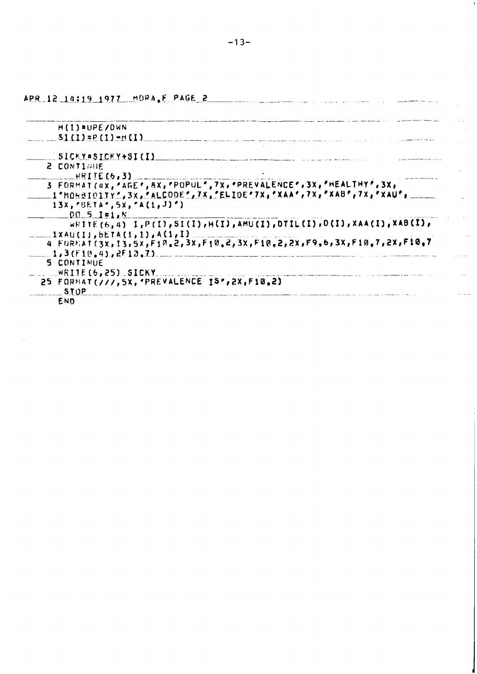| $H(1)$ = UPE/DWN  |                                                                                        |
|-------------------|----------------------------------------------------------------------------------------|
|                   | $SL(I) = P(I) - H(I)$                                                                  |
|                   | SICKY=SICKY+SI(I)                                                                      |
| <b>2 CONTINUE</b> |                                                                                        |
|                   | <b>HRITE(6,3)</b>                                                                      |
|                   | 3 FORMAT(4X, "AGE", BX, "POPUL", 7X, "PREVALENCE", 3X, "HEALTHY", 3X,                  |
|                   | <u>1'MORBIDITY',3X,'ALCODE',7X,'ELIDE'7X,'XAA',7X,'XAB',</u> 7X,'XAU' <u>.</u>         |
|                   | 13x, 'BETA', 5x, 'A(1, J)')                                                            |
|                   | $00.5$ $I = 1.6$                                                                       |
|                   | WRITE(6,4) I, P(I), SI(I), H(I), AMU(I), DTIL(I), O(I), XAA(I), XAB(I),                |
|                   | $1$ XAU(I), BETA(1, 1), A(1, I)                                                        |
|                   | 4 FORMAT(3x, 13, 5x, F1M, 2, 3x, F1M, 2, 3x, F1M, 2, 2x, F9, 6, 3X, F1M, 7, 2X, F1M, 7 |
|                   | 1, 3(f10, 4), 2f13, 7)                                                                 |
| <b>5 CONTINUE</b> |                                                                                        |
|                   | <b>WRITE(6,25) SICKY</b>                                                               |
|                   | 25 FORMAT(///,5X, 'PREVALENCE IS',2X, F10.2)                                           |
| <b>STOP</b>       |                                                                                        |
| END               |                                                                                        |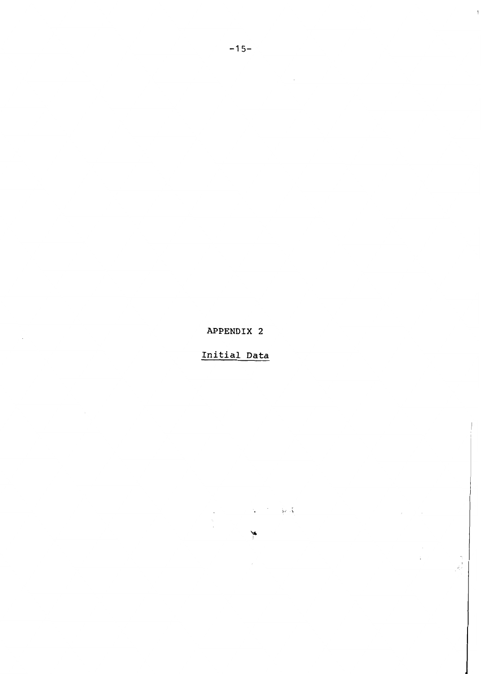APPENDIX 2 Initial Data

 $\ddot{\phantom{a}}$ 

 $\mathcal{F}=\mathcal{G}(\mathcal{A})$ 

 $\mathcal{A}$ 

¥

 $\sim 10$ 

 $\frac{1}{4} \frac{1}{\sqrt{2}}$ 

 $\frac{1}{\sigma_{\rm{B}}^2}$ 

 $\bar{1}$ 

 $\sim$   $\sim$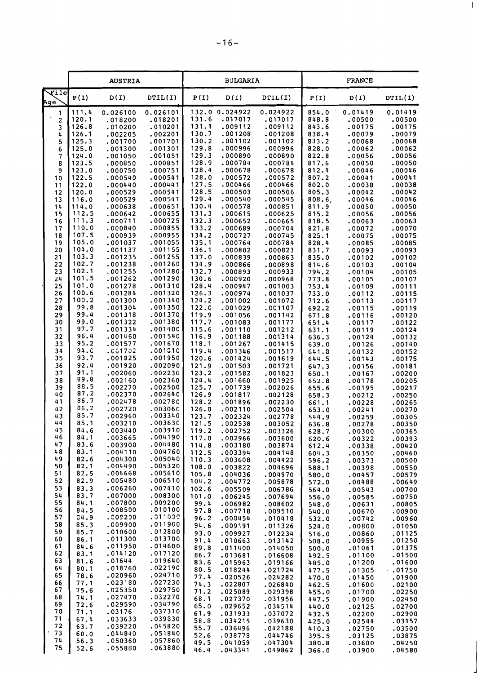|             |                | <b>AUSTRIA</b>     |                       |                | <b>BULGARIA</b>    |                    |                 | <b>FRANCE</b>    |                  |
|-------------|----------------|--------------------|-----------------------|----------------|--------------------|--------------------|-----------------|------------------|------------------|
| File<br>Age | P(I)           | D(I)               | DTIL(I)               | P(I)           | D(I)               | DTIL(I)            | P(I)            | D(I)             | DTIL(I)          |
| 1           | 111.4          | 0.026100           | 0.026101              |                | 132.0 0.024922     | 0.024922           | 854.0           | 0.01419          | 0.01419          |
| 2           | 120.1<br>126.8 | .018200<br>.010200 | .018201<br>.010201    | 131.6<br>131.1 | .017017<br>.009112 | .017017<br>.009112 | 848.8<br>843.6  | .00500<br>.00175 | .00500<br>.00175 |
| 3<br>4      | 126.1          | .002205            | .002201               | 130.7          | .001208            | .001208            | 838.4           | .00079           | .00079           |
| 5           | 125.3          | .001700            | .001701               | 130.2          | .001102            | .001102            | 833.2           | .00068           | .00068           |
| 6           | 125.0          | .001300            | .001301               | 129.8          | .000996            | .000996            | 828.0           | .00062           | .00062           |
| 7<br>8      | 124.0<br>123.5 | .001050<br>.000850 | .001051<br>.000851    | 129.3<br>128.9 | .000890<br>.000784 | .000890<br>.000784 | 822.8<br>817.6  | .00056<br>.00050 | .00056<br>.00050 |
| 9           | 123.0          | .000750            | .000751               | 128.4          | .000678            | .000678            | 812.4           | .00046           | .00046           |
| 10          | 122.5          | .000540            | .000541               | 128.0          | .000572            | .000572            | 807.2           | .00041           | .00041           |
| 11          | 122.0          | .000440            | .000441               | 127.5<br>128.5 | .000466            | .000466            | 802.0           | .00038           | .00038           |
| 12<br>13    | 120.0<br>116.0 | .000529<br>.000529 | .000541<br>.000541    | 129.4          | .000503<br>.000540 | .000506<br>.000545 | 805.3<br>808.6. | .00042<br>.00046 | .00042<br>.00046 |
| 14          | 114.0          | .000638            | .000651               | 130.4          | .000578            | .000851            | 811.9           | .00050           | .00050           |
| 15          | 112.5          | .000642            | .000655               | 131.3          | .000615            | .000625            | 815.2           | .00056           | .00056           |
| 16<br>17    | 111.3<br>110.0 | .000711<br>.000840 | .000725<br>.000855    | 132.3<br>133.2 | .000652<br>.000689 | .000665<br>.000704 | 818.5<br>821.8  | .00063<br>.00072 | .00063<br>.00070 |
| 18          | 107.5          | .000939            | .000955               | 134.2          | .000727            | .000745            | 825.1           | .00075           | .00075           |
| 19          | 105.0          | .001037            | .001055               | 135.1          | .000764            | .000784            | 828.4           | .00085           | .00085           |
| 20          | 104.0          | .001137            | .001155               | 136.1          | .000802            | .000823            | 831.7           | .00093           | .00093           |
| 21<br>22    | 103.3<br>102.7 | .001235<br>.001238 | .001255<br>.001260    | 137.0<br>134.9 | .000839<br>.000866 | .000863<br>.000898 | 835.0<br>814.6  | .00102<br>.00103 | .00102<br>.00104 |
| 23          | 102.1          | .001255            | .001280               | 132.7          | .000893            | .000933            | 794.2           | .00104           | .00105           |
| 24          | 101.5          | .001262            | .001290               | 130.6          | .000920            | .000968            | 773.8           | .00105           | .00107           |
| 25          | 101.0          | .001278            | .001310               | 128.4          | .000947            | .001003            | 753.4           | .00109           | .00111           |
| 26<br>27    | 100.6<br>100.2 | .001284<br>.001300 | .001320<br>.001340    | 126.3<br>124.2 | .000974<br>.001002 | .001037<br>.001072 | 733.0<br>712.6  | .00112<br>.00113 | .00115<br>.00117 |
| 28          | 99.8           | .001304            | .001350               | 122.0          | .001029            | .001107            | 692.2           | .00115           | .00119           |
| 29          | 99.4           | .001318            | .001370               | 119.9          | .001056            | .001142            | 671.8           | .00116           | .00120           |
| 30<br>31    | 99.0<br>97.7   | .001322<br>.001334 | .001380<br>.001400    | 117.7<br>115.6 | .001083<br>.001110 | .001177<br>.001212 | 651.4           | .00117           | .00122           |
| 32          | 96.4           | .001460            | .001540               | 116.9          | .001188            | .001314            | 631.1<br>636.3  | .00119<br>.00124 | .00124<br>.00132 |
| 33          | 95.2           | .001577            | .001670               | 118.1          | .001267            | .001415            | 639.0           | .00126           | .00140           |
| 34          | 94.C           | .001702            | .001310               | 119.4          | .001346            | .001517            | 641.3           | .00132           | .00152           |
| 35<br>36    | 93.7<br>92.4   | .001825<br>.001920 | .001950<br>.002090    | 120.6<br>121.9 | .001424<br>.001503 | .001619<br>.001721 | 644.5           | .00143           | .00175           |
| 37          | 91.1           | .002060            | .002230               | 123.2          | .001582            | .001823            | 647.3<br>650.1  | .00156<br>.00167 | 00181.<br>.00200 |
| 38          | 89.8           | .002160            | .002360               | 124.4          | .001660            | .001925            | 652.8           | .00178           | .00205           |
| 39<br>40    | 88.5<br>87.2   | .002270<br>.002370 | .002500<br>.002640    | 125.7<br>126.9 | .001739            | .002026            | 655.6           | .00195           | .00217           |
| 41          | 86.7           | .002478            | .002780               | 128.2          | .001817<br>.001896 | .002128<br>.002230 | 658.3<br>661.1  | .00212<br>.00228 | .00250<br>.00265 |
| 42          | 86.2           | .002720            | .003060               | 126.0          | .002110            | .002504            | 653.0           | .00241           | .00270           |
| 43          | 85.7           | .002960            | .003340               | 123.7          | .002324            | ,002778            | 544.9           | .00259           | .00305           |
| 44<br>45    | 85.1<br>84.6   | .003210<br>.003440 | .003630<br>. 003910 I | 121.5<br>119.2 | .002538<br>.002752 | .003052<br>.003326 | 636.8           | .00278           | .00350<br>.00365 |
| 46          | 84.1           | .003665            | .004190               | 117.0          | .002966            | .003600            | 628.7<br>620.6  | .00300<br>.00322 | .00393           |
| 47          | 83.6           | .003900            | .004480               | 114.8          | .003180            | .003874            | 612.4           | .00338           | .00420           |
| 48<br>49    | 83.1<br>82.6   | .004110<br>.004300 | .004760<br>.005040    | 112.5          | .003394            | .004148            | 604.3           | .00350           | .00460           |
| 50          | 82.1           | .004490            | .005320               | 110.3<br>108.0 | .003608<br>.003822 | .004422<br>.004696 | 596.2<br>588.1  | .00373<br>.00398 | .00500<br>.00550 |
| 51          | 82.5           | .004668            | .005610               | 105.8          | .004036            | .004970            | 580.0           | .00457           | .00579           |
| 52          | 82.9           | .005480            | .006510               | 104.2          | .004772            | .005878            | 572.0           | .00488           | .00649           |
| 53<br>54    | 83.3<br>83.7   | .006260<br>.007000 | .007410<br>.008300    | 102.6          | .005509            | .006786            | 564.0           | .00543           | .00700           |
| 55          | 84.1           | .007800            | .009200               | 101.0<br>99.4  | .006245<br>.006982 | .007694<br>.008602 | 556.0<br>548.0  | .00585<br>.00631 | .00750<br>.00805 |
| 56          | 84.5           | .008500            | .010100               | 97.8           | .007718            | .009510            | 540.0           | .00670           | .00900           |
| 57          | 04.9           | .005200            | .011000               | 96.2           | .003454            | .010418            | 532.0           | .00742           | .00960           |
| 58<br>59    | 85.3<br>85.7   | .009900<br>.010600 | .011900<br>.012800    | 94.6<br>93.0   | .009191            | .011326            | 524.0           | .00800           | .01050           |
| 60          | 86.1           | .011300            | .013700               | 91.4           | .009927<br>.010663 | .012234<br>.013142 | 516.0<br>508.0  | .00860<br>.00955 | .01125<br>.01250 |
| 61          | 84.6           | .011950            | .014600               | 89.8           | .011400            | .014050            | 500.0           | .01061           | .01375           |
| 62          | 83.1           | .014120            | .017120               | 86.7           | .013681            | .016608            | 492.5           | .01100           | .01500           |
| 63<br>64    | 81.6<br>80.1   | .01644<br>.018760  | .019640<br>.022190    | 83.6<br>80.5   | .015963<br>.018244 | .019166            | 485.0           | .01200           | .01600           |
| 65          | 78.6           | .020960            | .024710               | 77.4           | .020526            | .021724<br>.024282 | 477.5<br>470.0  | .01305<br>.01450 | .01750<br>.01900 |
| 66          | 77.1           | .023180            | .027230               | 74.3           | .022807            | .026840            | 462.5           | .01600           | .02100           |
| 67<br>68    | 75.6           | .025350            | .029750<br>.032270    | 71.2           | .025089            | .029398            | 455.0           | .01700           | .02250           |
| 69          | 74.1<br>72.6   | .027470<br>.029590 | .034790               | 68.1<br>65.0   | .027370            | .031956            | 447.5           | .01900           | .02450           |
| 70          | 71.1           | .03176             | .037310               | 61.9           | .029652<br>.031933 | .034514<br>.037072 | 440.0<br>432.5  | .02125<br>.02200 | .02700<br>.02900 |
| 71          | 67.4           | .033633            | .039830               | 58.8           | .034215            | .039630            | 425.0           | .02544           | .03157           |
| 72<br>73    | 63.7           | .039220            | .045820<br>.051840    | 55.7           | .036496            | .042188            | 410.3           | .02750           | .03500           |
| 74          | 60.0<br>56.3   | .044840<br>.050360 | .057860               | 52,6<br>49.5   | .038778<br>.041059 | .044746<br>.047304 | 395.5<br>380.8  | .03125<br>.03600 | .03875<br>.04250 |
| 75          | 52.6           | .055880            | .063880               | 46.4           | .043341            | .049862            | 366.0           | .03900           | .04580           |
|             |                |                    |                       |                |                    |                    |                 |                  |                  |

 $\mathbf{I}$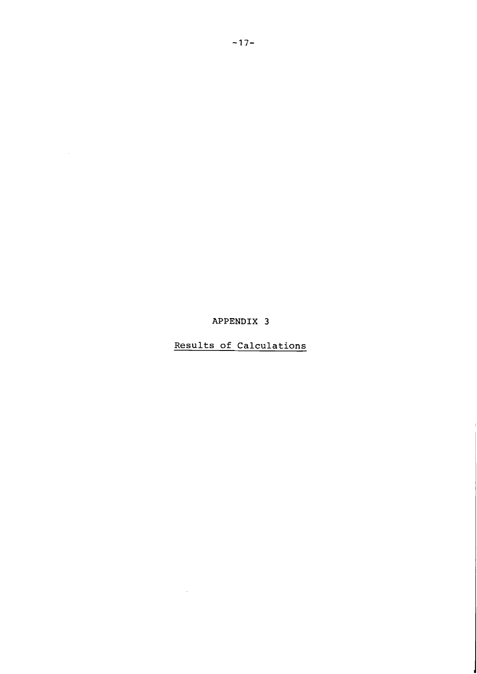APPENDIX **3** 

Results of Calculations

 $\mathcal{L}^{\text{max}}_{\text{max}}$  and  $\mathcal{L}^{\text{max}}_{\text{max}}$ 

 $\mathcal{L}(\mathcal{A})$  .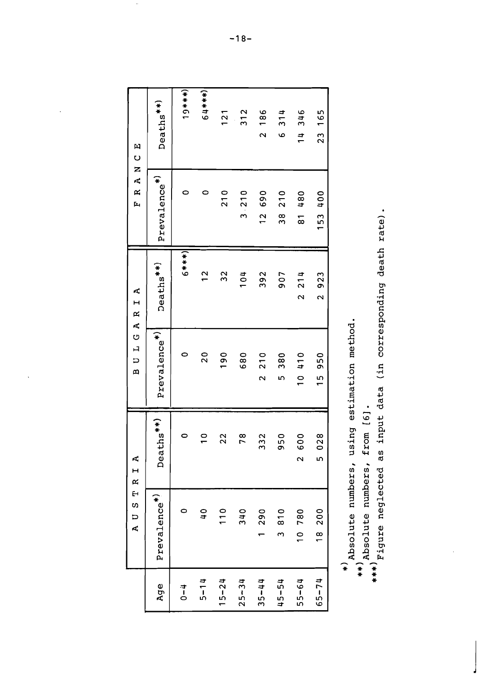|               | AUST                  | A,<br>$\mathbf{H}$<br>$\alpha$ | BULGARIA                 |                                | FRANC                   | $\mathbf{H}$         |
|---------------|-----------------------|--------------------------------|--------------------------|--------------------------------|-------------------------|----------------------|
| Age           | Prevalence*           | $at^*$<br>Dea                  | Prevalence <sup>*)</sup> | $Deaths$ <sup>**</sup>         | Prevalence <sup>*</sup> | Deaths <sup>**</sup> |
| $\frac{4}{1}$ |                       |                                | $\circ$                  | $6***1$                        | 0                       | $+ * * 1$            |
| $5 - 14$      | $\frac{0}{4}$         | $\frac{0}{1}$                  | 20                       | $\frac{2}{1}$                  | 0                       | $64***$              |
| $15 - 24$     | 110                   | 22                             | 190                      | 32                             | 210                     | 121                  |
| $25 - 34$     | 340                   | 78                             | 680                      | 104                            | $3 - 210$               | 312                  |
| $35 - 44$     | 290                   | 332                            | 210                      | 392                            | 12 690                  | 186<br>$\sim$        |
| 45-54         | 810<br>$\mathfrak{m}$ | 950                            | 380<br>ഥ                 | 907                            | 38 210                  | 314<br>o             |
| 55-64         | 10 780                | 600<br>$\overline{\mathbf{C}}$ | 10 410                   | 214<br>$\overline{\mathbf{c}}$ | 81 480                  | 346<br>$\frac{4}{1}$ |
| $65 - 74$     | 18 200                | 028<br>ഗ                       | 15 950                   | 2 9 2 3                        | 153 400                 | 23 165               |
|               |                       |                                |                          |                                |                         |                      |

\*)<br>
\*\*)<br>
\*\*)<br>
Absolute numbers, from [6].<br>
\*\*\*)<br>
Figure neglected as input data (in corresponding death rate).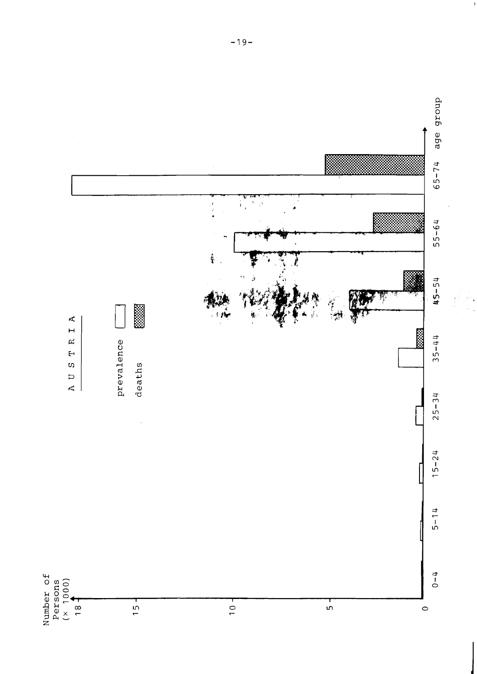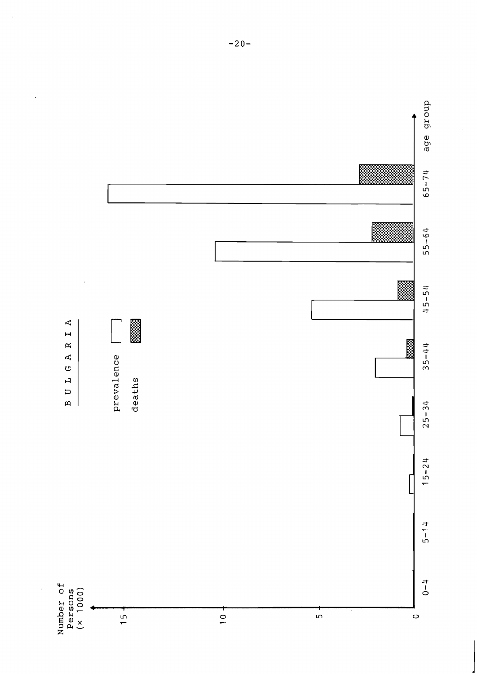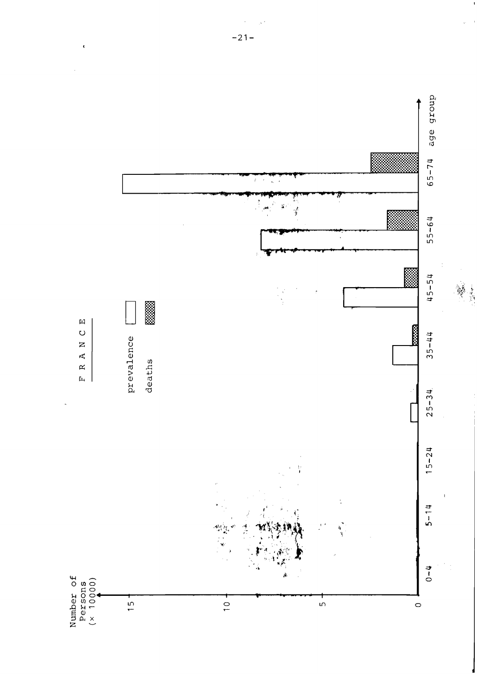

 $-21-$ 

Ŷ,

 $\mu^{\alpha}$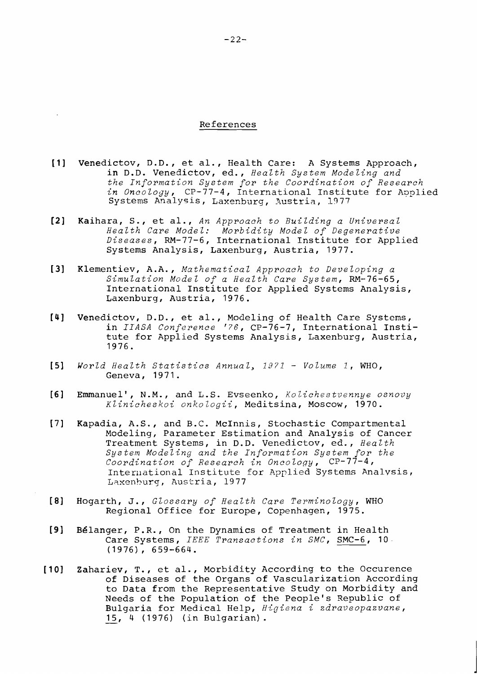# References

- [I] Venedictov, D.D., et al., Health Care: A Systems Approach, in D.D. Venedictov, ed., Health System Modeling and the Information System for the Coordination of Research in Oncology,  $CP-77-4$ , International Institute for Applied Systems Analysis, Laxenburg, Austria, 1977
- [2] Kaihara, S., et al., An Approach to Building a Universal Health Care Model: Morbidity Model of Degenerative Diseases, RM-77-6, International Institute for Applied Systems Analysis, Laxenburg, Austria, 1977.
- **[3]** Klementiev, A.A., Mathematical Approach to Developing a Simulation Model of a Health Care System, RM-76-65, International Institute for Applied Systems Analysis, Laxenburg, Austria, 1976.
- [4] Venedictov, D.D., et al., Modeling of Health Care Systems, in IIASA Conference '76, CP-76-7, International Institute for Applied Systems Analysis, Laxenburg, Austria, 1976.
- [5] World Health Statistics Annual, 1371 Volume 1, WHO, Geneva, 1971.
- [6] Emmanuel', N.M., and L.S. Evseenko, Kolichestvennye osnovy KZinicheskoi onkologii, Meditsina, Moscow, 1970.
- [7] Kapadia, A.S., and B.C. McInnis, Stochastic Compartmental Modeling, Parameter Estimation and Analysis of Cancer Treatment Systems, in D.D. Venedictov, ed., Health System Modeling and the Information System for the Coordination of Research in Oncology,  $CP-77-4$ , International Institute for Applied Systems Analysis, Laxenburg, Austria, 1977
- [8] Hogarth, J., Glossary of Health Care Terminology, WHO Regional Office for Europe, Copenhagen, 1975.
- [9] Bglanger, P.R., On the Dynamics of Treatment in Health Care Systems, IEEE Transactions in SMC, SMC-6, 10.  $(1976)$ , 659-664.
- [lo] Zahariev, T., et al., Morbidity According to the Occurence of Diseases of the Organs of Vascularization According to Data from the Representative Study on Morbidity and to Data from the Representative Study on Morbidity .<br>Needs of the Population of the People's Republic of<br>Bulgaria for Medical Help, *Higiena i sdraveopasvane*<br>15, 4 (1976) (in Bulgarian). Bulgaria for Medical Help, Higiena i zdraveopazvane,<br>15, 4 (1976) (in Bulgarian).